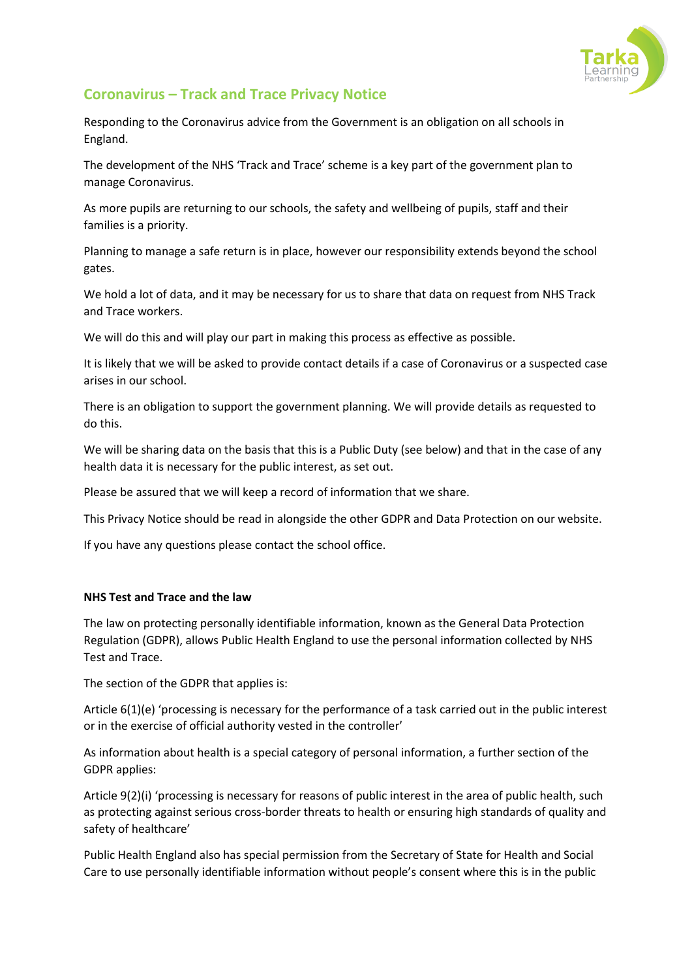

## **Coronavirus – Track and Trace Privacy Notice**

Responding to the Coronavirus advice from the Government is an obligation on all schools in England.

The development of the NHS 'Track and Trace' scheme is a key part of the government plan to manage Coronavirus.

As more pupils are returning to our schools, the safety and wellbeing of pupils, staff and their families is a priority.

Planning to manage a safe return is in place, however our responsibility extends beyond the school gates.

We hold a lot of data, and it may be necessary for us to share that data on request from NHS Track and Trace workers.

We will do this and will play our part in making this process as effective as possible.

It is likely that we will be asked to provide contact details if a case of Coronavirus or a suspected case arises in our school.

There is an obligation to support the government planning. We will provide details as requested to do this.

We will be sharing data on the basis that this is a Public Duty (see below) and that in the case of any health data it is necessary for the public interest, as set out.

Please be assured that we will keep a record of information that we share.

This Privacy Notice should be read in alongside the other GDPR and Data Protection on our website.

If you have any questions please contact the school office.

## **NHS Test and Trace and the law**

The law on protecting personally identifiable information, known as the General Data Protection Regulation (GDPR), allows Public Health England to use the personal information collected by NHS Test and Trace.

The section of the GDPR that applies is:

Article 6(1)(e) 'processing is necessary for the performance of a task carried out in the public interest or in the exercise of official authority vested in the controller'

As information about health is a special category of personal information, a further section of the GDPR applies:

Article 9(2)(i) 'processing is necessary for reasons of public interest in the area of public health, such as protecting against serious cross-border threats to health or ensuring high standards of quality and safety of healthcare'

Public Health England also has special permission from the Secretary of State for Health and Social Care to use personally identifiable information without people's consent where this is in the public